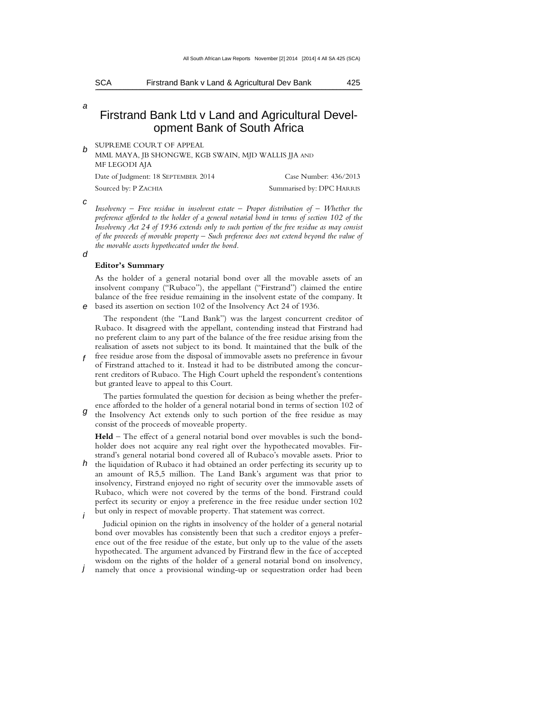SCA Firstrand Bank v Land & Agricultural Dev Bank 425  $\Box$  . The contract of the contract of the contract of the contract of the contract of the contract of the contract of the contract of the contract of the contract of the contract of the contract of the contract of the co

a

# Firstrand Bank Ltd v Land and Agricultural Development Bank of South Africa

b SUPREME COURT OF APPEAL

MML MAYA, JB SHONGWE, KGB SWAIN, MJD WALLIS JJA AND MF LEGODI AJA

| Date of Judgment: 18 SEPTEMBER 2014 | Case Number: 436/2013     |
|-------------------------------------|---------------------------|
| Sourced by: P ZACHIA                | Summarised by: DPC HARRIS |

c

*Insolvency – Free residue in insolvent estate – Proper distribution of – Whether the preference afforded to the holder of a general notarial bond in terms of section 102 of the Insolvency Act 24 of 1936 extends only to such portion of the free residue as may consist of the proceeds of movable property – Such preference does not extend beyond the value of the movable assets hypothecated under the bond.* 

d

f

## **Editor's Summary**

e based its assertion on section 102 of the Insolvency Act 24 of 1936. As the holder of a general notarial bond over all the movable assets of an insolvent company ("Rubaco"), the appellant ("Firstrand") claimed the entire balance of the free residue remaining in the insolvent estate of the company. It

The respondent (the "Land Bank") was the largest concurrent creditor of Rubaco. It disagreed with the appellant, contending instead that Firstrand had no preferent claim to any part of the balance of the free residue arising from the realisation of assets not subject to its bond. It maintained that the bulk of the free residue arose from the disposal of immovable assets no preference in favour of Firstrand attached to it. Instead it had to be distributed among the concurrent creditors of Rubaco. The High Court upheld the respondent's contentions but granted leave to appeal to this Court.

g The parties formulated the question for decision as being whether the preference afforded to the holder of a general notarial bond in terms of section 102 of the Insolvency Act extends only to such portion of the free residue as may consist of the proceeds of moveable property.

**Held** – The effect of a general notarial bond over movables is such the bondholder does not acquire any real right over the hypothecated movables. Firstrand's general notarial bond covered all of Rubaco's movable assets. Prior to

 $h$  the liquidation of Rubaco it had obtained an order perfecting its security up to i an amount of R5,5 million. The Land Bank's argument was that prior to insolvency, Firstrand enjoyed no right of security over the immovable assets of Rubaco, which were not covered by the terms of the bond. Firstrand could perfect its security or enjoy a preference in the free residue under section 102 but only in respect of movable property. That statement was correct.

Judicial opinion on the rights in insolvency of the holder of a general notarial bond over movables has consistently been that such a creditor enjoys a preference out of the free residue of the estate, but only up to the value of the assets hypothecated. The argument advanced by Firstrand flew in the face of accepted wisdom on the rights of the holder of a general notarial bond on insolvency,

j namely that once a provisional winding-up or sequestration order had been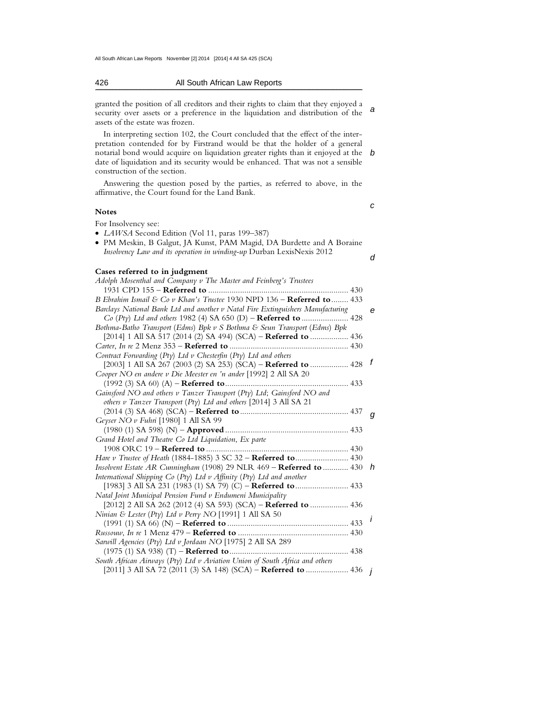#### 426 All South African Law Reports  $\mathcal{L} = \mathcal{L} = \{ \mathcal{L} = \mathcal{L} = \mathcal{L} = \mathcal{L} = \mathcal{L} = \mathcal{L} = \mathcal{L} = \mathcal{L} = \mathcal{L} = \mathcal{L} = \mathcal{L} = \mathcal{L} = \mathcal{L} = \mathcal{L} = \mathcal{L} = \mathcal{L} = \mathcal{L} = \mathcal{L} = \mathcal{L} = \mathcal{L} = \mathcal{L} = \mathcal{L} = \mathcal{L} = \mathcal{L} = \mathcal{L} = \mathcal{L} = \mathcal{L} = \mathcal{L} = \mathcal{L} = \$

a granted the position of all creditors and their rights to claim that they enjoyed a security over assets or a preference in the liquidation and distribution of the assets of the estate was frozen.

notarial bond would acquire on liquidation greater rights than it enjoyed at the  $\,$  b In interpreting section 102, the Court concluded that the effect of the interpretation contended for by Firstrand would be that the holder of a general date of liquidation and its security would be enhanced. That was not a sensible construction of the section.

Answering the question posed by the parties, as referred to above, in the affirmative, the Court found for the Land Bank.

#### **Notes**

c

d

For Insolvency see:

- *LAWSA* Second Edition (Vol 11, paras 199–387)
- PM Meskin, B Galgut, JA Kunst, PAM Magid, DA Burdette and A Boraine *Insolvency Law and its operation in winding-up* Durban LexisNexis 2012

#### **Cases referred to in judgment**

| Adolph Mosenthal and Company v The Master and Feinberg's Trustees               |                |   |
|---------------------------------------------------------------------------------|----------------|---|
|                                                                                 |                |   |
| B Ebrahim Ismail & Co v Khan's Trustee 1930 NPD $136$ – Referred to  433        |                |   |
| Barclays National Bank Ltd and another v Natal Fire Extinguishers Manufacturing |                | e |
|                                                                                 |                |   |
| Bothma-Batho Transport (Edms) Bpk v S Bothma & Seun Transport (Edms) Bpk        |                |   |
| [2014] 1 All SA 517 (2014 (2) SA 494) (SCA) - Referred to  436                  |                |   |
|                                                                                 |                |   |
| Contract Forwarding (Pty) Ltd v Chesterfin (Pty) Ltd and others                 |                |   |
| [2003] 1 All SA 267 (2003 (2) SA 253) (SCA) - Referred to  428                  | $\mathbf{f}$   |   |
| Cooper NO en andere v Die Meester en 'n ander [1992] 2 All SA 20                |                |   |
| $(1992 (3)$ SA 60) $(A)$ – <b>Referred to</b>                                   |                |   |
| Gainsford NO and others v Tanzer Transport (Pty) Ltd; Gainsford NO and          |                |   |
| others v Tanzer Transport (Pty) Ltd and others [2014] 3 All SA 21               |                |   |
|                                                                                 | g              |   |
| Geyser NO v Fuhri $[1980]$ 1 All SA 99                                          |                |   |
|                                                                                 |                |   |
| Grand Hotel and Theatre Co Ltd Liquidation, Ex parte                            |                |   |
|                                                                                 |                |   |
| Hare v Trustee of Heath (1884-1885) 3 SC 32 - Referred to 430                   |                |   |
| Insolvent Estate AR Cunningham (1908) 29 NLR $469$ – Referred to  430 h         |                |   |
| International Shipping Co (Pty) Ltd v Affinity (Pty) Ltd and another            |                |   |
| [1983] 3 All SA 231 (1983 (1) SA 79) (C) - Referred to  433                     |                |   |
| Natal Joint Municipal Pension Fund v Endumeni Municipality                      |                |   |
| [2012] 2 All SA 262 (2012 (4) SA 593) (SCA) - Referred to  436                  |                |   |
| Ninian & Lester (Pty) Ltd v Perry NO [1991] 1 All SA 50                         |                |   |
|                                                                                 | $\overline{I}$ |   |
|                                                                                 |                |   |
| Sarwill Agencies (Pty) Ltd v Jordaan NO [1975] 2 All SA 289                     |                |   |
| $(1975 (1)$ SA 938) $(T)$ – <b>Referred to</b><br>438                           |                |   |
| South African Airways (Pty) Ltd v Aviation Union of South Africa and others     |                |   |
| [2011] 3 All SA 72 (2011 (3) SA 148) (SCA) – Referred to  436 <i>j</i>          |                |   |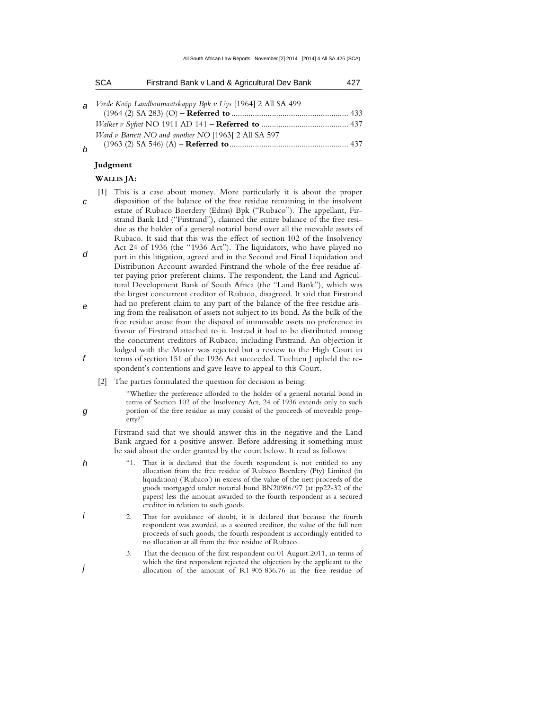| <b>SCA</b> | Firstrand Bank v Land & Agricultural Dev Bank                |  |
|------------|--------------------------------------------------------------|--|
|            | a Vrede Koöp Landboumaatskappy Bpk v Uys [1964] 2 All SA 499 |  |
|            |                                                              |  |
|            | Ward v Barrett NO and another NO [1963] 2 All SA 597         |  |
|            |                                                              |  |

b

#### **Judgment**

# **WALLIS JA:**

- c d e f [1] This is a case about money. More particularly it is about the proper disposition of the balance of the free residue remaining in the insolvent estate of Rubaco Boerdery (Edms) Bpk ("Rubaco"). The appellant, Firstrand Bank Ltd ("Firstrand"), claimed the entire balance of the free residue as the holder of a general notarial bond over all the movable assets of Rubaco. It said that this was the effect of section 102 of the Insolvency Act 24 of 1936 (the "1936 Act"). The liquidators, who have played no part in this litigation, agreed and in the Second and Final Liquidation and Distribution Account awarded Firstrand the whole of the free residue after paying prior preferent claims. The respondent, the Land and Agricultural Development Bank of South Africa (the "Land Bank"), which was the largest concurrent creditor of Rubaco, disagreed. It said that Firstrand had no preferent claim to any part of the balance of the free residue arising from the realisation of assets not subject to its bond. As the bulk of the free residue arose from the disposal of immovable assets no preference in favour of Firstrand attached to it. Instead it had to be distributed among the concurrent creditors of Rubaco, including Firstrand. An objection it lodged with the Master was rejected but a review to the High Court in terms of section 151 of the 1936 Act succeeded. Tuchten J upheld the respondent's contentions and gave leave to appeal to this Court.
	- [2] The parties formulated the question for decision as being:

"Whether the preference afforded to the holder of a general notarial bond in terms of Section 102 of the Insolvency Act, 24 of 1936 extends only to such portion of the free residue as may consist of the proceeds of moveable property?"

 Firstrand said that we should answer this in the negative and the Land Bank argued for a positive answer. Before addressing it something must be said about the order granted by the court below. It read as follows:

- "1. That it is declared that the fourth respondent is not entitled to any allocation from the free residue of Rubaco Boerdery (Pty) Limited (in liquidation) ('Rubaco') in excess of the value of the nett proceeds of the goods mortgaged under notarial bond BN20986/97 (at pp22-32 of the papers) less the amount awarded to the fourth respondent as a secured creditor in relation to such goods.
- 2. That for avoidance of doubt, it is declared that because the fourth respondent was awarded, as a secured creditor, the value of the full nett proceeds of such goods, the fourth respondent is accordingly entitled to no allocation at all from the free residue of Rubaco.
	- 3. That the decision of the first respondent on 01 August 2011, in terms of which the first respondent rejected the objection by the applicant to the allocation of the amount of R1 905 836.76 in the free residue of
- 
- g

h

i

j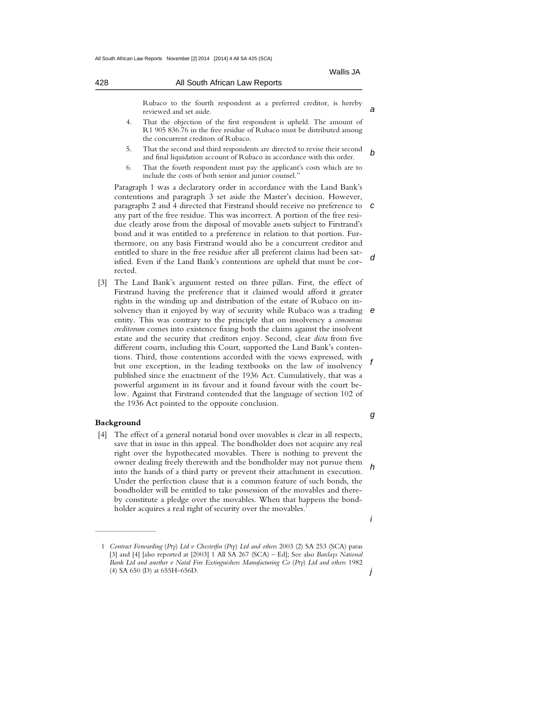| 428 | All South African Law Reports                                                                 |  |  |  |  |  |  |  |
|-----|-----------------------------------------------------------------------------------------------|--|--|--|--|--|--|--|
|     | Rubaco to the fourth respondent as a preferred creditor, is hereby<br>reviewed and set aside. |  |  |  |  |  |  |  |

- 4. That the objection of the first respondent is upheld. The amount of R1 905 836.76 in the free residue of Rubaco must be distributed among the concurrent creditors of Rubaco.
- b 5. That the second and third respondents are directed to revise their second and final liquidation account of Rubaco in accordance with this order.
- 6. That the fourth respondent must pay the applicant's costs which are to include the costs of both senior and junior counsel."

paragraphs 2 and 4 directed that Firstrand should receive no preference to  $c$ d Paragraph 1 was a declaratory order in accordance with the Land Bank's contentions and paragraph 3 set aside the Master's decision. However, any part of the free residue. This was incorrect. A portion of the free residue clearly arose from the disposal of movable assets subject to Firstrand's bond and it was entitled to a preference in relation to that portion. Furthermore, on any basis Firstrand would also be a concurrent creditor and entitled to share in the free residue after all preferent claims had been satisfied. Even if the Land Bank's contentions are upheld that must be corrected.

solvency than it enjoyed by way of security while Rubaco was a trading  $e$ f [3] The Land Bank's argument rested on three pillars. First, the effect of Firstrand having the preference that it claimed would afford it greater rights in the winding up and distribution of the estate of Rubaco on inentity. This was contrary to the principle that on insolvency a *concursus creditorum* comes into existence fixing both the claims against the insolvent estate and the security that creditors enjoy. Second, clear *dicta* from five different courts, including this Court, supported the Land Bank's contentions. Third, those contentions accorded with the views expressed, with but one exception, in the leading textbooks on the law of insolvency published since the enactment of the 1936 Act. Cumulatively, that was a powerful argument in its favour and it found favour with the court below. Against that Firstrand contended that the language of section 102 of the 1936 Act pointed to the opposite conclusion.

#### **Background**

 $\frac{1}{2}$  ,  $\frac{1}{2}$  ,  $\frac{1}{2}$  ,  $\frac{1}{2}$  ,  $\frac{1}{2}$  ,  $\frac{1}{2}$  ,  $\frac{1}{2}$  ,  $\frac{1}{2}$  ,  $\frac{1}{2}$  ,  $\frac{1}{2}$  ,  $\frac{1}{2}$  ,  $\frac{1}{2}$  ,  $\frac{1}{2}$  ,  $\frac{1}{2}$  ,  $\frac{1}{2}$  ,  $\frac{1}{2}$  ,  $\frac{1}{2}$  ,  $\frac{1}{2}$  ,  $\frac{1$ 

h [4] The effect of a general notarial bond over movables is clear in all respects, save that in issue in this appeal. The bondholder does not acquire any real right over the hypothecated movables. There is nothing to prevent the owner dealing freely therewith and the bondholder may not pursue them into the hands of a third party or prevent their attachment in execution. Under the perfection clause that is a common feature of such bonds, the bondholder will be entitled to take possession of the movables and thereby constitute a pledge over the movables. When that happens the bondholder acquires a real right of security over the movables.<sup>1</sup>

j

g

i

 <sup>1</sup> *Contract Forwarding* (*Pty*) *Ltd v Chesterfin* (*Pty*) *Ltd and others* 2003 (2) SA 253 (SCA) paras [3] and [4] [also reported at [2003] 1 All SA 267 (SCA) – Ed]; See also *Barclays National Bank Ltd and another v Natal Fire Extinguishers Manufacturing Co* (*Pty*) *Ltd and others* 1982 (4) SA 650 (D) at 655H–656D.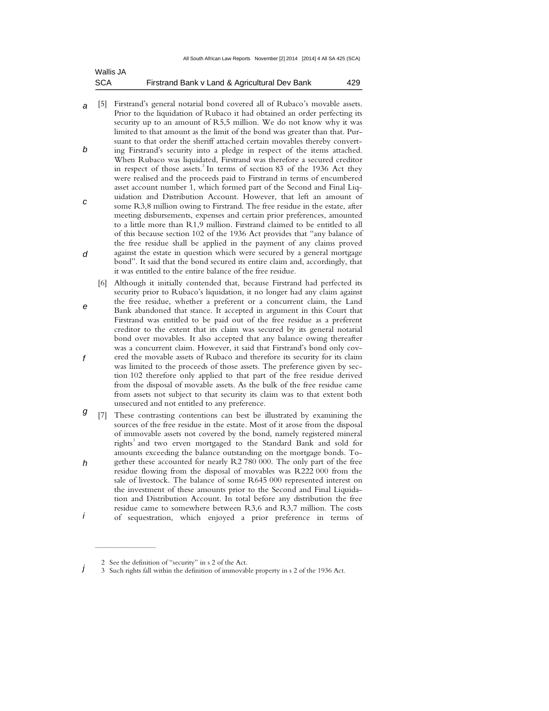| Wallis JA  |                                               |     |
|------------|-----------------------------------------------|-----|
| <b>SCA</b> | Firstrand Bank v Land & Agricultural Dev Bank | 429 |

- a [5] Firstrand's general notarial bond covered all of Rubaco's movable assets. Prior to the liquidation of Rubaco it had obtained an order perfecting its security up to an amount of R5,5 million. We do not know why it was limited to that amount as the limit of the bond was greater than that. Pursuant to that order the sheriff attached certain movables thereby convert-
- b c ing Firstrand's security into a pledge in respect of the items attached. When Rubaco was liquidated, Firstrand was therefore a secured creditor in respect of those assets.<sup>2</sup> In terms of section 83 of the 1936 Act they were realised and the proceeds paid to Firstrand in terms of encumbered asset account number 1, which formed part of the Second and Final Liquidation and Distribution Account. However, that left an amount of some R3,8 million owing to Firstrand. The free residue in the estate, after
- d meeting disbursements, expenses and certain prior preferences, amounted to a little more than R1,9 million. Firstrand claimed to be entitled to all of this because section 102 of the 1936 Act provides that "any balance of the free residue shall be applied in the payment of any claims proved against the estate in question which were secured by a general mortgage bond". It said that the bond secured its entire claim and, accordingly, that it was entitled to the entire balance of the free residue.
- e f [6] Although it initially contended that, because Firstrand had perfected its security prior to Rubaco's liquidation, it no longer had any claim against the free residue, whether a preferent or a concurrent claim, the Land Bank abandoned that stance. It accepted in argument in this Court that Firstrand was entitled to be paid out of the free residue as a preferent creditor to the extent that its claim was secured by its general notarial bond over movables. It also accepted that any balance owing thereafter was a concurrent claim. However, it said that Firstrand's bond only covered the movable assets of Rubaco and therefore its security for its claim was limited to the proceeds of those assets. The preference given by section 102 therefore only applied to that part of the free residue derived from the disposal of movable assets. As the bulk of the free residue came from assets not subject to that security its claim was to that extent both unsecured and not entitled to any preference.
- g h [7] These contrasting contentions can best be illustrated by examining the sources of the free residue in the estate. Most of it arose from the disposal of immovable assets not covered by the bond, namely registered mineral rights<sup>3</sup> and two erven mortgaged to the Standard Bank and sold for amounts exceeding the balance outstanding on the mortgage bonds. Together these accounted for nearly R2 780 000. The only part of the free
- i residue flowing from the disposal of movables was R222 000 from the sale of livestock. The balance of some R645 000 represented interest on the investment of these amounts prior to the Second and Final Liquidation and Distribution Account. In total before any distribution the free residue came to somewhere between R3,6 and R3,7 million. The costs of sequestration, which enjoyed a prior preference in terms of

 $\frac{1}{2}$  ,  $\frac{1}{2}$  ,  $\frac{1}{2}$  ,  $\frac{1}{2}$  ,  $\frac{1}{2}$  ,  $\frac{1}{2}$  ,  $\frac{1}{2}$  ,  $\frac{1}{2}$  ,  $\frac{1}{2}$  ,  $\frac{1}{2}$  ,  $\frac{1}{2}$  ,  $\frac{1}{2}$  ,  $\frac{1}{2}$  ,  $\frac{1}{2}$  ,  $\frac{1}{2}$  ,  $\frac{1}{2}$  ,  $\frac{1}{2}$  ,  $\frac{1}{2}$  ,  $\frac{1$ 

 <sup>2</sup> See the definition of "security" in s 2 of the Act.

j 3 Such rights fall within the definition of immovable property in s 2 of the 1936 Act.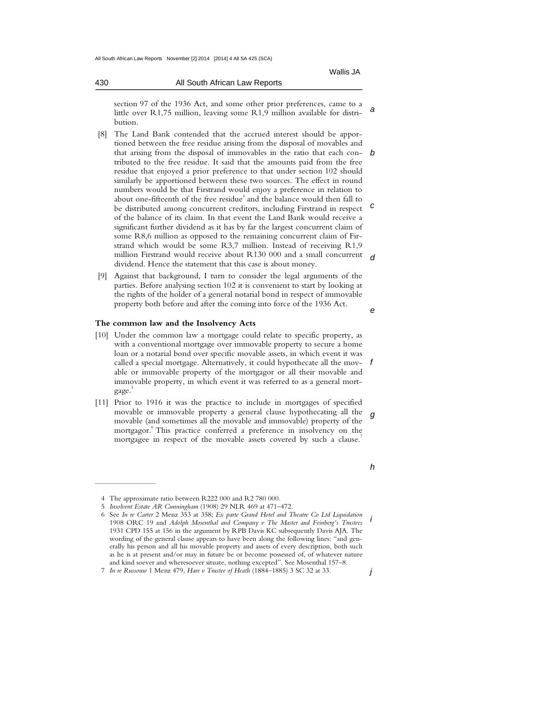430 All South African Law Reports  $\mathcal{L} = \mathcal{L} = \{ \mathcal{L} = \mathcal{L} = \mathcal{L} = \mathcal{L} = \mathcal{L} = \mathcal{L} = \mathcal{L} = \mathcal{L} = \mathcal{L} = \mathcal{L} = \mathcal{L} = \mathcal{L} = \mathcal{L} = \mathcal{L} = \mathcal{L} = \mathcal{L} = \mathcal{L} = \mathcal{L} = \mathcal{L} = \mathcal{L} = \mathcal{L} = \mathcal{L} = \mathcal{L} = \mathcal{L} = \mathcal{L} = \mathcal{L} = \mathcal{L} = \mathcal{L} = \mathcal{L} = \$ 

a section 97 of the 1936 Act, and some other prior preferences, came to a little over R1,75 million, leaving some R1,9 million available for distribution.

- that arising from the disposal of immovables in the ratio that each con- $b$ c d [8] The Land Bank contended that the accrued interest should be apportioned between the free residue arising from the disposal of movables and tributed to the free residue. It said that the amounts paid from the free residue that enjoyed a prior preference to that under section 102 should similarly be apportioned between these two sources. The effect in round numbers would be that Firstrand would enjoy a preference in relation to about one-fifteenth of the free residue<sup>4</sup> and the balance would then fall to be distributed among concurrent creditors, including Firstrand in respect of the balance of its claim. In that event the Land Bank would receive a significant further dividend as it has by far the largest concurrent claim of some R8,6 million as opposed to the remaining concurrent claim of Firstrand which would be some R3,7 million. Instead of receiving R1,9 million Firstrand would receive about R130 000 and a small concurrent dividend. Hence the statement that this case is about money.
- [9] Against that background, I turn to consider the legal arguments of the parties. Before analysing section 102 it is convenient to start by looking at the rights of the holder of a general notarial bond in respect of immovable property both before and after the coming into force of the 1936 Act.

#### **The common law and the Insolvency Acts**

- called a special mortgage. Alternatively, it could hypothecate all the mov-  $f$ [10] Under the common law a mortgage could relate to specific property, as with a conventional mortgage over immovable property to secure a home loan or a notarial bond over specific movable assets, in which event it was able or immovable property of the mortgagor or all their movable and immovable property, in which event it was referred to as a general mortgage. 5
- g [11] Prior to 1916 it was the practice to include in mortgages of specified movable or immovable property a general clause hypothecating all the movable (and sometimes all the movable and immovable) property of the mortgagor. 6 This practice conferred a preference in insolvency on the mortgagee in respect of the movable assets covered by such a clause.

j

e

 $\overline{\phantom{a}}$  , where the contract of the contract of the contract of the contract of the contract of the contract of the contract of the contract of the contract of the contract of the contract of the contract of the contr

h

 <sup>4</sup> The approximate ratio between R222 000 and R2 780 000.

 <sup>5</sup> *Insolvent Estate AR Cunningham* (1908) 29 NLR 469 at 471–472.

i 6 See *In re Carter* 2 Menz 353 at 358; *Ex parte Grand Hotel and Theatre Co Ltd Liquidation* 1908 ORC 19 and *Adolph Mosenthal and Company v The Master and Feinberg's Trustees*  1931 CPD 155 at 156 in the argument by RPB Davis KC subsequently Davis AJA. The wording of the general clause appears to have been along the following lines: "and generally his person and all his movable property and assets of every description, both such as he is at present and/or may in future be or become possessed of, of whatever nature and kind soever and wheresoever situate, nothing excepted". See Mosenthal 157–8.

 <sup>7</sup> *In re Russouw* 1 Menz 479, *Hare v Trustee of Heath* (1884–1885) 3 SC 32 at 33.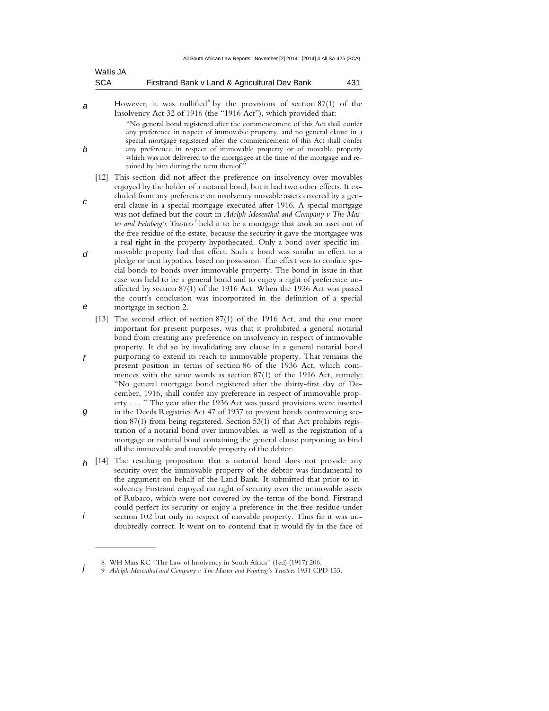| <b>SCA</b> | Firstrand Bank v Land & Agricultural Dev Bank | 431 |
|------------|-----------------------------------------------|-----|
| VVallis JA |                                               |     |

 $M = 0.5 - 1.8$ 

b

a However, it was nullified<sup>8</sup> by the provisions of section  $87(1)$  of the Insolvency Act 32 of 1916 (the "1916 Act"), which provided that:

"No general bond registered after the commencement of this Act shall confer any preference in respect of immovable property, and no general clause in a special mortgage registered after the commencement of this Act shall confer any preference in respect of immovable property or of movable property which was not delivered to the mortgagee at the time of the mortgage and retained by him during the term thereof."

- [12] This section did not affect the preference on insolvency over movables enjoyed by the holder of a notarial bond, but it had two other effects. It excluded from any preference on insolvency movable assets covered by a gen-
- c d e eral clause in a special mortgage executed after 1916. A special mortgage was not defined but the court in *Adolph Mosenthal and Company v The Mas*ter and Feinberg's Trustees<sup>9</sup> held it to be a mortgage that took an asset out of the free residue of the estate, because the security it gave the mortgagee was a real right in the property hypothecated. Only a bond over specific immovable property had that effect. Such a bond was similar in effect to a pledge or tacit hypothec based on possession. The effect was to confine special bonds to bonds over immovable property. The bond in issue in that case was held to be a general bond and to enjoy a right of preference unaffected by section 87(1) of the 1916 Act. When the 1936 Act was passed the court's conclusion was incorporated in the definition of a special mortgage in section 2.
- f [13] The second effect of section 87(1) of the 1916 Act, and the one more important for present purposes, was that it prohibited a general notarial bond from creating any preference on insolvency in respect of immovable property. It did so by invalidating any clause in a general notarial bond purporting to extend its reach to immovable property. That remains the present position in terms of section 86 of the 1936 Act, which commences with the same words as section 87(1) of the 1916 Act, namely: "No general mortgage bond registered after the thirty-first day of December, 1916, shall confer any preference in respect of immovable property . . . " The year after the 1936 Act was passed provisions were inserted
- g in the Deeds Registries Act 47 of 1937 to prevent bonds contravening section 87(1) from being registered. Section 53(1) of that Act prohibits registration of a notarial bond over immovables, as well as the registration of a mortgage or notarial bond containing the general clause purporting to bind all the immovable and movable property of the debtor.
- h [14] The resulting proposition that a notarial bond does not provide any i security over the immovable property of the debtor was fundamental to the argument on behalf of the Land Bank. It submitted that prior to insolvency Firstrand enjoyed no right of security over the immovable assets of Rubaco, which were not covered by the terms of the bond. Firstrand could perfect its security or enjoy a preference in the free residue under section 102 but only in respect of movable property. Thus far it was undoubtedly correct. It went on to contend that it would fly in the face of

 $\frac{1}{2}$  ,  $\frac{1}{2}$  ,  $\frac{1}{2}$  ,  $\frac{1}{2}$  ,  $\frac{1}{2}$  ,  $\frac{1}{2}$  ,  $\frac{1}{2}$  ,  $\frac{1}{2}$  ,  $\frac{1}{2}$  ,  $\frac{1}{2}$  ,  $\frac{1}{2}$  ,  $\frac{1}{2}$  ,  $\frac{1}{2}$  ,  $\frac{1}{2}$  ,  $\frac{1}{2}$  ,  $\frac{1}{2}$  ,  $\frac{1}{2}$  ,  $\frac{1}{2}$  ,  $\frac{1$ 

 <sup>8</sup> WH Mars KC "The Law of Insolvency in South Africa" (1ed) (1917) 206.

j 9 *Adolph Mosenthal and Company v The Master and Feinberg's Trustees* 1931 CPD 155.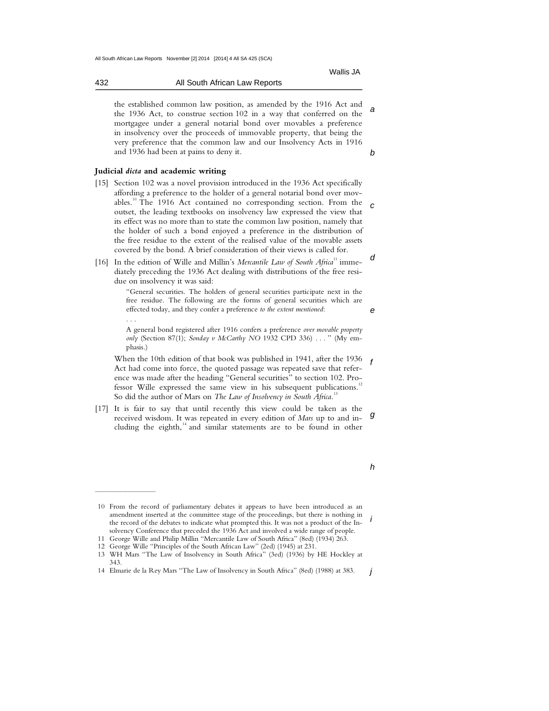Wallis JA

a

b

e

 the established common law position, as amended by the 1916 Act and the 1936 Act, to construe section 102 in a way that conferred on the mortgagee under a general notarial bond over movables a preference in insolvency over the proceeds of immovable property, that being the very preference that the common law and our Insolvency Acts in 1916 and 1936 had been at pains to deny it.

### **Judicial** *dicta* **and academic writing**

 $\frac{1}{2}$  ,  $\frac{1}{2}$  ,  $\frac{1}{2}$  ,  $\frac{1}{2}$  ,  $\frac{1}{2}$  ,  $\frac{1}{2}$  ,  $\frac{1}{2}$  ,  $\frac{1}{2}$  ,  $\frac{1}{2}$  ,  $\frac{1}{2}$  ,  $\frac{1}{2}$  ,  $\frac{1}{2}$  ,  $\frac{1}{2}$  ,  $\frac{1}{2}$  ,  $\frac{1}{2}$  ,  $\frac{1}{2}$  ,  $\frac{1}{2}$  ,  $\frac{1}{2}$  ,  $\frac{1$ 

- c [15] Section 102 was a novel provision introduced in the 1936 Act specifically affording a preference to the holder of a general notarial bond over movables.<sup>10</sup> The 1916 Act contained no corresponding section. From the outset, the leading textbooks on insolvency law expressed the view that its effect was no more than to state the common law position, namely that the holder of such a bond enjoyed a preference in the distribution of the free residue to the extent of the realised value of the movable assets covered by the bond. A brief consideration of their views is called for.
- d [16] In the edition of Wille and Millin's *Mercantile Law of South Africa*<sup>11</sup> immediately preceding the 1936 Act dealing with distributions of the free residue on insolvency it was said:

"General securities. The holders of general securities participate next in the free residue. The following are the forms of general securities which are effected today, and they confer a preference *to the extent mentioned*: . . .

A general bond registered after 1916 confers a preference *over movable property only* (Section 87(1); *Sonday v McCarthy NO* 1932 CPD 336) . . . " (My emphasis.)

When the 10th edition of that book was published in 1941, after the 1936  $\epsilon$ Act had come into force, the quoted passage was repeated save that reference was made after the heading "General securities" to section 102. Professor Wille expressed the same view in his subsequent publications.<sup>12</sup> So did the author of Mars on *The Law of Insolvency in South Africa*. 13

g [17] It is fair to say that until recently this view could be taken as the received wisdom. It was repeated in every edition of *Mars* up to and including the eighth, $14$  and similar statements are to be found in other

h

i 10 From the record of parliamentary debates it appears to have been introduced as an amendment inserted at the committee stage of the proceedings, but there is nothing in the record of the debates to indicate what prompted this. It was not a product of the Insolvency Conference that preceded the 1936 Act and involved a wide range of people.

 <sup>11</sup> George Wille and Philip Millin "Mercantile Law of South Africa" (8ed) (1934) 263.

 <sup>12</sup> George Wille "Principles of the South African Law" (2ed) (1945) at 231.

 <sup>13</sup> WH Mars "The Law of Insolvency in South Africa" (3ed) (1936) by HE Hockley at 343.

j 14 Elmarie de la Rey Mars "The Law of Insolvency in South Africa" (8ed) (1988) at 383.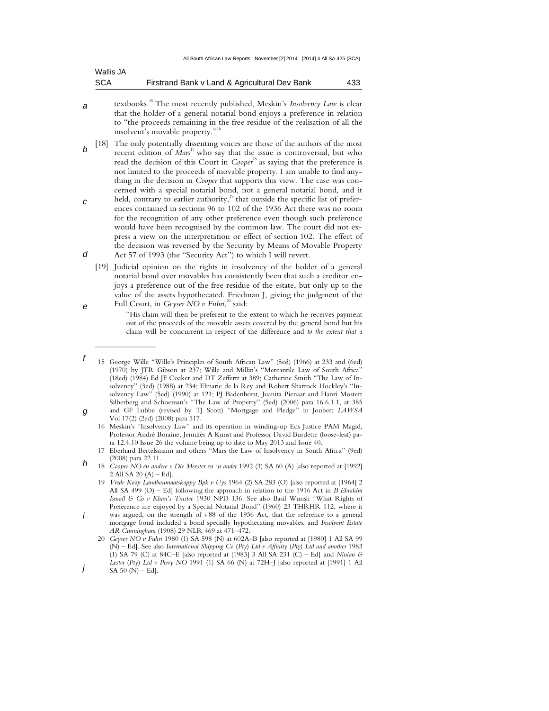| Wallis JA  |                                               |     |
|------------|-----------------------------------------------|-----|
| <b>SCA</b> | Firstrand Bank v Land & Agricultural Dev Bank | 433 |

- a textbooks.<sup>15</sup> The most recently published, Meskin's *Insolvency Law* is clear that the holder of a general notarial bond enjoys a preference in relation to "the proceeds remaining in the free residue of the realisation of all the insolvent's movable property."<sup>1</sup>
- b [18] The only potentially dissenting voices are those of the authors of the most recent edition of *Mars*<sup>17</sup> who say that the issue is controversial, but who read the decision of this Court in *Cooper*<sup>18</sup> as saying that the preference is not limited to the proceeds of movable property. I am unable to find anything in the decision in *Cooper* that supports this view. The case was concerned with a special notarial bond, not a general notarial bond, and it
- c d held, contrary to earlier authority,<sup>19</sup> that outside the specific list of preferences contained in sections 96 to 102 of the 1936 Act there was no room for the recognition of any other preference even though such preference would have been recognised by the common law. The court did not express a view on the interpretation or effect of section 102. The effect of the decision was reversed by the Security by Means of Movable Property Act 57 of 1993 (the "Security Act") to which I will revert.
	- [19] Judicial opinion on the rights in insolvency of the holder of a general notarial bond over movables has consistently been that such a creditor enjoys a preference out of the free residue of the estate, but only up to the value of the assets hypothecated. Friedman J, giving the judgment of the Full Court, in *Geyser NO v Fuhri*,<sup>20</sup> said:
		- "His claim will then be preferent to the extent to which he receives payment out of the proceeds of the movable assets covered by the general bond but his claim will be concurrent in respect of the difference and *to the extent that a*

e

 $\overline{\phantom{a}}$  , where the contract of the contract of the contract of the contract of the contract of the contract of the contract of the contract of the contract of the contract of the contract of the contract of the contr

 17 Eberhard Bertelsmann and others "Mars the Law of Insolvency in South Africa" (9ed) (2008) para 22.11.

 19 *Vrede Koöp Landboumaatskappy Bpk v Uys* 1964 (2) SA 283 (O) [also reported at [1964] 2 All SA 499 (O) – Ed] following the approach in relation to the 1916 Act in *B Ebrahim Ismail & Co v Khan's Trustee* 1930 NPD 136. See also Basil Wunsh "What Rights of Preference are enjoyed by a Special Notarial Bond" (1960) 23 THRHR 112, where it

 20 *Geyser NO v Fuhri* 1980 (1) SA 598 (N) at 602A–B [also reported at [1980] 1 All SA 99 (N) – Ed]. See also *International Shipping Co* (*Pty*) *Ltd v Affinity* (*Pty*) *Ltd and another* 1983 (1) SA 79 (C) at 84C–E [also reported at [1983] 3 All SA 231 (C) – Ed] and *Ninian & Lester* (*Pty*) *Ltd v Perry NO* 1991 (1) SA 66 (N) at 72H–J [also reported at [1991] 1 All

f g 15 George Wille "Wille's Principles of South African Law" (5ed) (1966) at 233 and (6ed) (1970) by JTR Gibson at 237; Wille and Millin's "Mercantile Law of South Africa" (18ed) (1984) Ed JF Coaker and DT Zeffertt at 389; Catherine Smith "The Law of Insolvency" (3ed) (1988) at 234; Elmarie de la Rey and Robert Sharrock Hockley's "Insolvency Law" (5ed) (1990) at 121; PJ Badenhorst, Juanita Pienaar and Hanri Mostert Silberberg and Schoeman's "The Law of Property" (5ed) (2006) para 16.6.1.1, at 385 and GF Lubbe (revised by TJ Scott) "Mortgage and Pledge" in Joubert *LAWSA* Vol 17(2) (2ed) (2008) para 517.

 <sup>16</sup> Meskin's "Insolvency Law" and its operation in winding-up Eds Justice PAM Magid, Professor André Boraine, Jennifer A Kunst and Professor David Burdette (loose-leaf) para 12.4.10 Issue 26 the volume being up to date to May 2013 and Issue 40.

h 18 *Cooper NO en andere v Die Meester en 'n ander* 1992 (3) SA 60 (A) [also reported at [1992] 2 All SA 20 (A) – Ed].

i was argued, on the strength of s 88 of the 1936 Act, that the reference to a general mortgage bond included a bond specially hypothecating movables, and *Insolvent Estate AR Cunningham* (1908) 29 NLR 469 at 471–472.

j SA  $50 (N) - Ed$ ].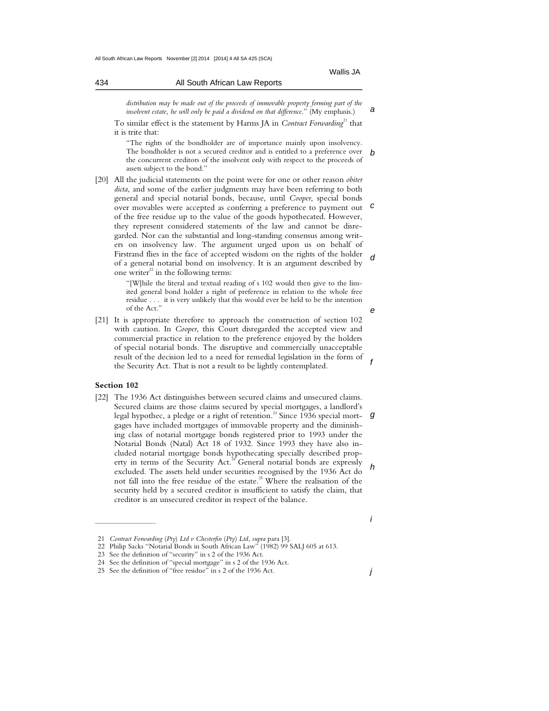a

e

f

| distribution may be made out of the proceeds of immovable property forming part of the        |  |  |
|-----------------------------------------------------------------------------------------------|--|--|
| <i>insolvent estate, he will only be paid a dividend on that difference.</i> " (My emphasis.) |  |  |

To similar effect is the statement by Harms JA in *Contract Forwarding*<sup>21</sup> that it is trite that:

b "The rights of the bondholder are of importance mainly upon insolvency. The bondholder is not a secured creditor and is entitled to a preference over the concurrent creditors of the insolvent only with respect to the proceeds of assets subject to the bond."

c d [20] All the judicial statements on the point were for one or other reason *obiter dicta*, and some of the earlier judgments may have been referring to both general and special notarial bonds, because, until *Cooper*, special bonds over movables were accepted as conferring a preference to payment out of the free residue up to the value of the goods hypothecated. However, they represent considered statements of the law and cannot be disregarded. Nor can the substantial and long-standing consensus among writers on insolvency law. The argument urged upon us on behalf of Firstrand flies in the face of accepted wisdom on the rights of the holder of a general notarial bond on insolvency. It is an argument described by one writer $^{22}$  in the following terms:

> "[W]hile the literal and textual reading of s 102 would then give to the limited general bond holder a right of preference in relation to the whole free residue . . . it is very unlikely that this would ever be held to be the intention of the Act."

[21] It is appropriate therefore to approach the construction of section 102 with caution. In *Cooper*, this Court disregarded the accepted view and commercial practice in relation to the preference enjoyed by the holders of special notarial bonds. The disruptive and commercially unacceptable result of the decision led to a need for remedial legislation in the form of the Security Act. That is not a result to be lightly contemplated.

### **Section 102**

 $\overline{\phantom{a}}$  , where the contract of the contract of the contract of the contract of the contract of the contract of the contract of the contract of the contract of the contract of the contract of the contract of the contr

g h [22] The 1936 Act distinguishes between secured claims and unsecured claims. Secured claims are those claims secured by special mortgages, a landlord's legal hypothec, a pledge or a right of retention.<sup>23</sup> Since 1936 special mortgages have included mortgages of immovable property and the diminishing class of notarial mortgage bonds registered prior to 1993 under the Notarial Bonds (Natal) Act 18 of 1932. Since 1993 they have also included notarial mortgage bonds hypothecating specially described property in terms of the Security Act.<sup>24</sup> General notarial bonds are expressly excluded. The assets held under securities recognised by the 1936 Act do not fall into the free residue of the estate.<sup>25</sup> Where the realisation of the security held by a secured creditor is insufficient to satisfy the claim, that creditor is an unsecured creditor in respect of the balance.

j

i

 <sup>21</sup> *Contract Forwarding* (*Pty*) *Ltd v Chesterfin* (*Pty*) *Ltd*, *supra* para [3].

 <sup>22</sup> Philip Sacks "Notarial Bonds in South African Law" (1982) 99 SALJ 605 at 613.

 <sup>23</sup> See the definition of "security" in s 2 of the 1936 Act.

 <sup>24</sup> See the definition of "special mortgage" in s 2 of the 1936 Act.

 <sup>25</sup> See the definition of "free residue" in s 2 of the 1936 Act.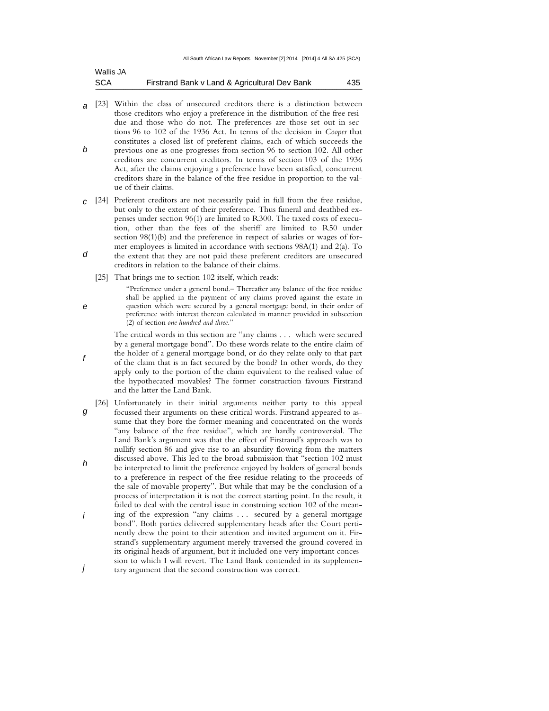| Wallis JA  |                                               |     |
|------------|-----------------------------------------------|-----|
| <b>SCA</b> | Firstrand Bank v Land & Agricultural Dev Bank | 435 |

- a b [23] Within the class of unsecured creditors there is a distinction between those creditors who enjoy a preference in the distribution of the free residue and those who do not. The preferences are those set out in sections 96 to 102 of the 1936 Act. In terms of the decision in *Cooper* that constitutes a closed list of preferent claims, each of which succeeds the previous one as one progresses from section 96 to section 102. All other creditors are concurrent creditors. In terms of section 103 of the 1936 Act, after the claims enjoying a preference have been satisfied, concurrent creditors share in the balance of the free residue in proportion to the value of their claims.
- c [24] Preferent creditors are not necessarily paid in full from the free residue, d but only to the extent of their preference. Thus funeral and deathbed expenses under section 96(1) are limited to R300. The taxed costs of execution, other than the fees of the sheriff are limited to R50 under section 98(1)(b) and the preference in respect of salaries or wages of former employees is limited in accordance with sections 98A(1) and 2(a). To the extent that they are not paid these preferent creditors are unsecured
	- [25] That brings me to section 102 itself, which reads:

creditors in relation to the balance of their claims.

e

f

"Preference under a general bond.– Thereafter any balance of the free residue shall be applied in the payment of any claims proved against the estate in question which were secured by a general mortgage bond, in their order of preference with interest thereon calculated in manner provided in subsection (2) of section *one hundred and three*."

 The critical words in this section are "any claims . . . which were secured by a general mortgage bond". Do these words relate to the entire claim of the holder of a general mortgage bond, or do they relate only to that part of the claim that is in fact secured by the bond? In other words, do they apply only to the portion of the claim equivalent to the realised value of the hypothecated movables? The former construction favours Firstrand and the latter the Land Bank.

- g h i j [26] Unfortunately in their initial arguments neither party to this appeal focussed their arguments on these critical words. Firstrand appeared to assume that they bore the former meaning and concentrated on the words "any balance of the free residue", which are hardly controversial. The Land Bank's argument was that the effect of Firstrand's approach was to nullify section 86 and give rise to an absurdity flowing from the matters discussed above. This led to the broad submission that "section 102 must be interpreted to limit the preference enjoyed by holders of general bonds to a preference in respect of the free residue relating to the proceeds of the sale of movable property". But while that may be the conclusion of a process of interpretation it is not the correct starting point. In the result, it failed to deal with the central issue in construing section 102 of the meaning of the expression "any claims . . . secured by a general mortgage bond". Both parties delivered supplementary heads after the Court pertinently drew the point to their attention and invited argument on it. Firstrand's supplementary argument merely traversed the ground covered in its original heads of argument, but it included one very important concession to which I will revert. The Land Bank contended in its supplementary argument that the second construction was correct.
-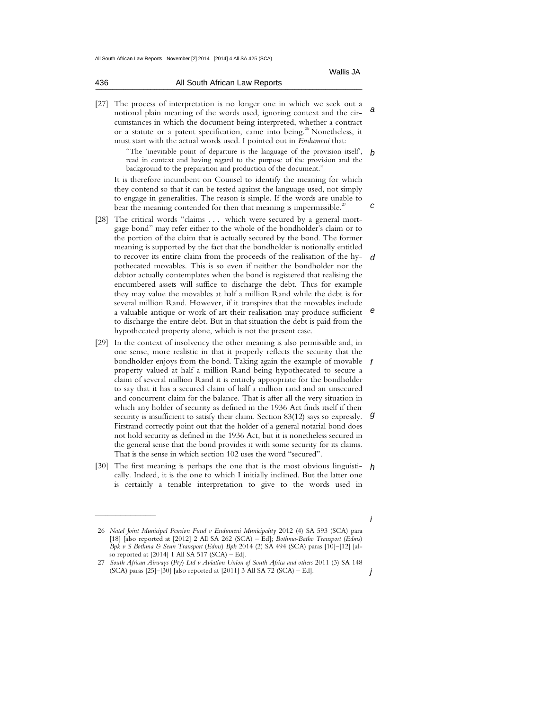| 436 | All South African Law Reports |
|-----|-------------------------------|
|     |                               |

a [27] The process of interpretation is no longer one in which we seek out a notional plain meaning of the words used, ignoring context and the circumstances in which the document being interpreted, whether a contract or a statute or a patent specification, came into being.<sup>26</sup> Nonetheless, it must start with the actual words used. I pointed out in *Endumeni* that:

> b "The 'inevitable point of departure is the language of the provision itself', read in context and having regard to the purpose of the provision and the background to the preparation and production of the document."

Wallis JA

c

 It is therefore incumbent on Counsel to identify the meaning for which they contend so that it can be tested against the language used, not simply to engage in generalities. The reason is simple. If the words are unable to bear the meaning contended for then that meaning is impermissible.<sup>27</sup>

- d e [28] The critical words "claims . . . which were secured by a general mortgage bond" may refer either to the whole of the bondholder's claim or to the portion of the claim that is actually secured by the bond. The former meaning is supported by the fact that the bondholder is notionally entitled to recover its entire claim from the proceeds of the realisation of the hypothecated movables. This is so even if neither the bondholder nor the debtor actually contemplates when the bond is registered that realising the encumbered assets will suffice to discharge the debt. Thus for example they may value the movables at half a million Rand while the debt is for several million Rand. However, if it transpires that the movables include a valuable antique or work of art their realisation may produce sufficient to discharge the entire debt. But in that situation the debt is paid from the hypothecated property alone, which is not the present case.
- bondholder enjoys from the bond. Taking again the example of movable  $f$ g [29] In the context of insolvency the other meaning is also permissible and, in one sense, more realistic in that it properly reflects the security that the property valued at half a million Rand being hypothecated to secure a claim of several million Rand it is entirely appropriate for the bondholder to say that it has a secured claim of half a million rand and an unsecured and concurrent claim for the balance. That is after all the very situation in which any holder of security as defined in the 1936 Act finds itself if their security is insufficient to satisfy their claim. Section 83(12) says so expressly. Firstrand correctly point out that the holder of a general notarial bond does not hold security as defined in the 1936 Act, but it is nonetheless secured in the general sense that the bond provides it with some security for its claims. That is the sense in which section 102 uses the word "secured".
- [30] The first meaning is perhaps the one that is the most obvious linguisti-  $h$ cally. Indeed, it is the one to which I initially inclined. But the latter one is certainly a tenable interpretation to give to the words used in

 $\frac{1}{2}$  ,  $\frac{1}{2}$  ,  $\frac{1}{2}$  ,  $\frac{1}{2}$  ,  $\frac{1}{2}$  ,  $\frac{1}{2}$  ,  $\frac{1}{2}$  ,  $\frac{1}{2}$  ,  $\frac{1}{2}$  ,  $\frac{1}{2}$  ,  $\frac{1}{2}$  ,  $\frac{1}{2}$  ,  $\frac{1}{2}$  ,  $\frac{1}{2}$  ,  $\frac{1}{2}$  ,  $\frac{1}{2}$  ,  $\frac{1}{2}$  ,  $\frac{1}{2}$  ,  $\frac{1$ 

i

 <sup>26</sup> *Natal Joint Municipal Pension Fund v Endumeni Municipality* 2012 (4) SA 593 (SCA) para [18] [also reported at [2012] 2 All SA 262 (SCA) – Ed]; *Bothma-Batho Transport* (*Edms*) *Bpk v S Bothma & Seun Transport* (*Edms*) *Bpk* 2014 (2) SA 494 (SCA) paras [10]–[12] [also reported at [2014] 1 All SA 517 (SCA) – Ed].

j 27 *South African Airways* (*Pty*) *Ltd v Aviation Union of South Africa and others* 2011 (3) SA 148 (SCA) paras [25]–[30] [also reported at [2011] 3 All SA 72 (SCA) – Ed].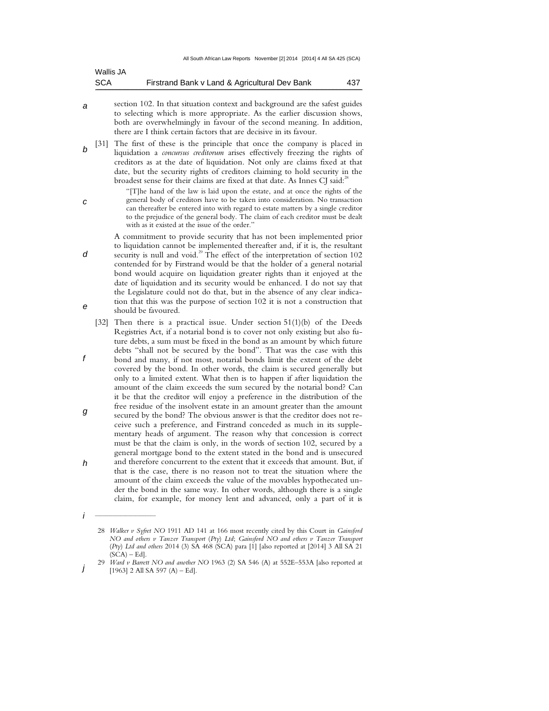| Wallis JA  |                                               |     |
|------------|-----------------------------------------------|-----|
| <b>SCA</b> | Firstrand Bank v Land & Agricultural Dev Bank | 437 |

- a section 102. In that situation context and background are the safest guides to selecting which is more appropriate. As the earlier discussion shows, both are overwhelmingly in favour of the second meaning. In addition, there are I think certain factors that are decisive in its favour.
- b [31] The first of these is the principle that once the company is placed in liquidation a *concursus creditorum* arises effectively freezing the rights of creditors as at the date of liquidation. Not only are claims fixed at that date, but the security rights of creditors claiming to hold security in the broadest sense for their claims are fixed at that date. As Innes CJ said:<sup>2</sup>

"[T]he hand of the law is laid upon the estate, and at once the rights of the general body of creditors have to be taken into consideration. No transaction can thereafter be entered into with regard to estate matters by a single creditor to the prejudice of the general body. The claim of each creditor must be dealt with as it existed at the issue of the order."

 A commitment to provide security that has not been implemented prior to liquidation cannot be implemented thereafter and, if it is, the resultant security is null and void.<sup>29</sup> The effect of the interpretation of section  $102$ contended for by Firstrand would be that the holder of a general notarial bond would acquire on liquidation greater rights than it enjoyed at the date of liquidation and its security would be enhanced. I do not say that the Legislature could not do that, but in the absence of any clear indication that this was the purpose of section 102 it is not a construction that should be favoured.

- f g [32] Then there is a practical issue. Under section 51(1)(b) of the Deeds Registries Act, if a notarial bond is to cover not only existing but also future debts, a sum must be fixed in the bond as an amount by which future debts "shall not be secured by the bond". That was the case with this bond and many, if not most, notarial bonds limit the extent of the debt covered by the bond. In other words, the claim is secured generally but only to a limited extent. What then is to happen if after liquidation the amount of the claim exceeds the sum secured by the notarial bond? Can it be that the creditor will enjoy a preference in the distribution of the free residue of the insolvent estate in an amount greater than the amount secured by the bond? The obvious answer is that the creditor does not receive such a preference, and Firstrand conceded as much in its supplementary heads of argument. The reason why that concession is correct must be that the claim is only, in the words of section 102, secured by a
- h general mortgage bond to the extent stated in the bond and is unsecured and therefore concurrent to the extent that it exceeds that amount. But, if that is the case, there is no reason not to treat the situation where the amount of the claim exceeds the value of the movables hypothecated under the bond in the same way. In other words, although there is a single claim, for example, for money lent and advanced, only a part of it is

d

e

i

 $\frac{1}{2}$  ,  $\frac{1}{2}$  ,  $\frac{1}{2}$  ,  $\frac{1}{2}$  ,  $\frac{1}{2}$  ,  $\frac{1}{2}$  ,  $\frac{1}{2}$  ,  $\frac{1}{2}$  ,  $\frac{1}{2}$  ,  $\frac{1}{2}$  ,  $\frac{1}{2}$  ,  $\frac{1}{2}$  ,  $\frac{1}{2}$  ,  $\frac{1}{2}$  ,  $\frac{1}{2}$  ,  $\frac{1}{2}$  ,  $\frac{1}{2}$  ,  $\frac{1}{2}$  ,  $\frac{1$ 

c

 <sup>28</sup> *Walker v Syfret NO* 1911 AD 141 at 166 most recently cited by this Court in *Gainsford NO and others v Tanzer Transport* (*Pty*) *Ltd*; *Gainsford NO and others v Tanzer Transport* (*Pty*) *Ltd and others* 2014 (3) SA 468 (SCA) para [1] [also reported at [2014] 3 All SA 21  $(SCA) - Ed$ .

j 29 *Ward v Barrett NO and another NO* 1963 (2) SA 546 (A) at 552E–553A [also reported at  $[1963]$  2 All SA 597 (A) – Ed].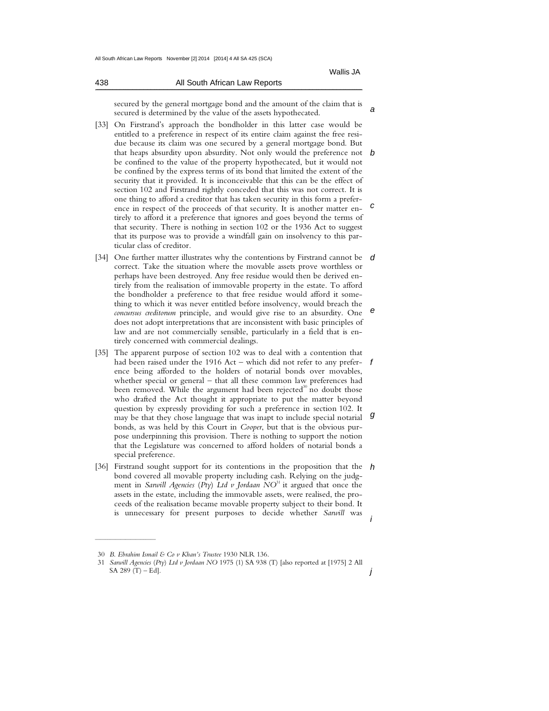438 All South African Law Reports

| טע |  | All Obdul Affican Law Reports |  |  |  |  |
|----|--|-------------------------------|--|--|--|--|
|    |  |                               |  |  |  |  |
|    |  |                               |  |  |  |  |

a secured by the general mortgage bond and the amount of the claim that is secured is determined by the value of the assets hypothecated.

- that heaps absurdity upon absurdity. Not only would the preference not  $\bm{b}$ c [33] On Firstrand's approach the bondholder in this latter case would be entitled to a preference in respect of its entire claim against the free residue because its claim was one secured by a general mortgage bond. But be confined to the value of the property hypothecated, but it would not be confined by the express terms of its bond that limited the extent of the security that it provided. It is inconceivable that this can be the effect of section 102 and Firstrand rightly conceded that this was not correct. It is one thing to afford a creditor that has taken security in this form a preference in respect of the proceeds of that security. It is another matter entirely to afford it a preference that ignores and goes beyond the terms of that security. There is nothing in section 102 or the 1936 Act to suggest that its purpose was to provide a windfall gain on insolvency to this particular class of creditor.
- [34] One further matter illustrates why the contentions by Firstrand cannot be  $d$ e correct. Take the situation where the movable assets prove worthless or perhaps have been destroyed. Any free residue would then be derived entirely from the realisation of immovable property in the estate. To afford the bondholder a preference to that free residue would afford it something to which it was never entitled before insolvency, would breach the *concursus creditorum* principle, and would give rise to an absurdity. One does not adopt interpretations that are inconsistent with basic principles of law and are not commercially sensible, particularly in a field that is entirely concerned with commercial dealings.
- had been raised under the 1916 Act which did not refer to any prefer-  $f$ g [35] The apparent purpose of section 102 was to deal with a contention that ence being afforded to the holders of notarial bonds over movables, whether special or general – that all these common law preferences had been removed. While the argument had been rejected<sup>30</sup> no doubt those who drafted the Act thought it appropriate to put the matter beyond question by expressly providing for such a preference in section 102. It may be that they chose language that was inapt to include special notarial bonds, as was held by this Court in *Cooper*, but that is the obvious purpose underpinning this provision. There is nothing to support the notion that the Legislature was concerned to afford holders of notarial bonds a special preference.
- [36] Firstrand sought support for its contentions in the proposition that the  $h$ i bond covered all movable property including cash. Relying on the judgment in *Sarwill Agencies (Pty)* Ltd v Jordaan  $NO<sup>31</sup>$  it argued that once the assets in the estate, including the immovable assets, were realised, the proceeds of the realisation became movable property subject to their bond. It is unnecessary for present purposes to decide whether *Sarwill* was

 $\frac{1}{2}$  ,  $\frac{1}{2}$  ,  $\frac{1}{2}$  ,  $\frac{1}{2}$  ,  $\frac{1}{2}$  ,  $\frac{1}{2}$  ,  $\frac{1}{2}$  ,  $\frac{1}{2}$  ,  $\frac{1}{2}$  ,  $\frac{1}{2}$  ,  $\frac{1}{2}$  ,  $\frac{1}{2}$  ,  $\frac{1}{2}$  ,  $\frac{1}{2}$  ,  $\frac{1}{2}$  ,  $\frac{1}{2}$  ,  $\frac{1}{2}$  ,  $\frac{1}{2}$  ,  $\frac{1$ 

 <sup>30</sup> *B*. *Ebrahim Ismail & Co v Khan's Trustee* 1930 NLR 136.

j 31 *Sarwill Agencies* (*Pty*) *Ltd v Jordaan NO* 1975 (1) SA 938 (T) [also reported at [1975] 2 All SA 289  $(T) - Ed$ ].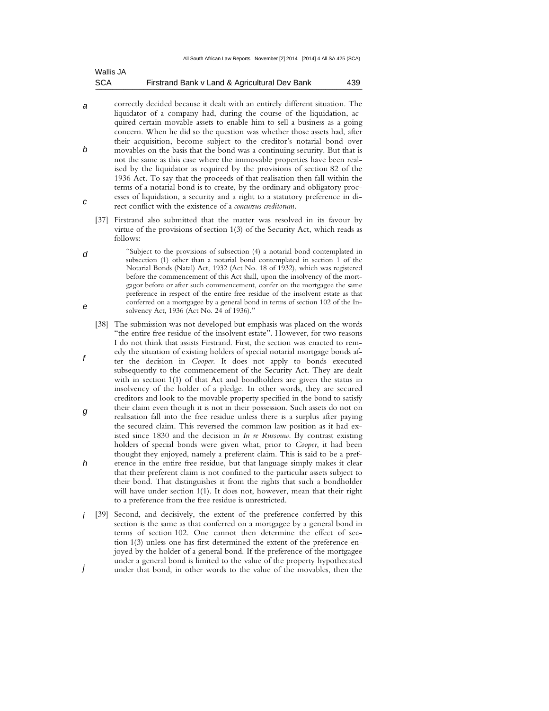| Wallis JA  |                                               |     |
|------------|-----------------------------------------------|-----|
| <b>SCA</b> | Firstrand Bank v Land & Agricultural Dev Bank | 439 |

- a b c correctly decided because it dealt with an entirely different situation. The liquidator of a company had, during the course of the liquidation, acquired certain movable assets to enable him to sell a business as a going concern. When he did so the question was whether those assets had, after their acquisition, become subject to the creditor's notarial bond over movables on the basis that the bond was a continuing security. But that is not the same as this case where the immovable properties have been realised by the liquidator as required by the provisions of section 82 of the 1936 Act. To say that the proceeds of that realisation then fall within the terms of a notarial bond is to create, by the ordinary and obligatory processes of liquidation, a security and a right to a statutory preference in direct conflict with the existence of a *concursus creditorum.*
	- [37] Firstrand also submitted that the matter was resolved in its favour by virtue of the provisions of section 1(3) of the Security Act, which reads as follows:
- d e "Subject to the provisions of subsection (4) a notarial bond contemplated in subsection (1) other than a notarial bond contemplated in section 1 of the Notarial Bonds (Natal) Act, 1932 (Act No. 18 of 1932), which was registered before the commencement of this Act shall, upon the insolvency of the mortgagor before or after such commencement, confer on the mortgagee the same preference in respect of the entire free residue of the insolvent estate as that conferred on a mortgagee by a general bond in terms of section 102 of the Insolvency Act, 1936 (Act No. 24 of 1936)."
- f g h [38] The submission was not developed but emphasis was placed on the words "the entire free residue of the insolvent estate". However, for two reasons I do not think that assists Firstrand. First, the section was enacted to remedy the situation of existing holders of special notarial mortgage bonds after the decision in *Cooper*. It does not apply to bonds executed subsequently to the commencement of the Security Act. They are dealt with in section 1(1) of that Act and bondholders are given the status in insolvency of the holder of a pledge. In other words, they are secured creditors and look to the movable property specified in the bond to satisfy their claim even though it is not in their possession. Such assets do not on realisation fall into the free residue unless there is a surplus after paying the secured claim. This reversed the common law position as it had existed since 1830 and the decision in *In re Russouw*. By contrast existing holders of special bonds were given what, prior to *Cooper*, it had been thought they enjoyed, namely a preferent claim. This is said to be a preference in the entire free residue, but that language simply makes it clear that their preferent claim is not confined to the particular assets subject to their bond. That distinguishes it from the rights that such a bondholder will have under section 1(1). It does not, however, mean that their right to a preference from the free residue is unrestricted.
- i [39] Second, and decisively, the extent of the preference conferred by this j section is the same as that conferred on a mortgagee by a general bond in terms of section 102. One cannot then determine the effect of section 1(3) unless one has first determined the extent of the preference enjoyed by the holder of a general bond. If the preference of the mortgagee under a general bond is limited to the value of the property hypothecated under that bond, in other words to the value of the movables, then the